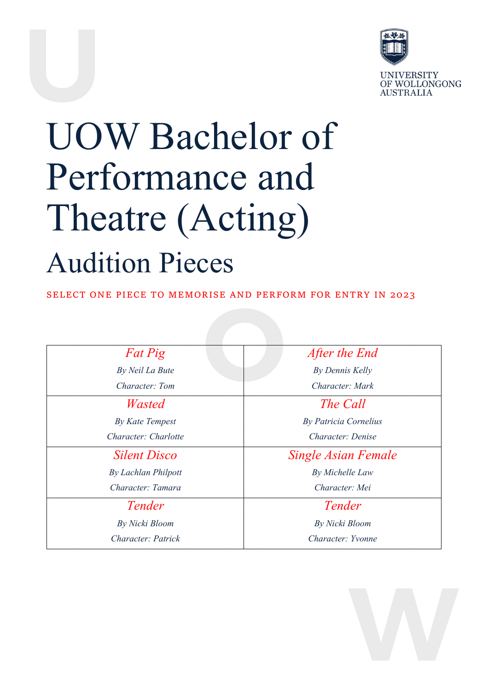

**UNIVERSITY** OF WOLLONGONG **AUSTRALIA** 

# UOW Bachelor of Performance and Theatre (Acting) Audition Pieces

SELECT ONE PIECE TO MEMORISE AND PERFORM FOR ENTRY IN 2023

| Fat Pig              | After the End                |
|----------------------|------------------------------|
| By Neil La Bute      | By Dennis Kelly              |
| Character: Tom       | Character: Mark              |
| Wasted               | The Call                     |
| By Kate Tempest      | <b>By Patricia Cornelius</b> |
| Character: Charlotte | Character: Denise            |
| <b>Silent Disco</b>  | <b>Single Asian Female</b>   |
| By Lachlan Philpott  | By Michelle Law              |
| Character: Tamara    | Character: Mei               |
| Tender               | Tender                       |
| By Nicki Bloom       | By Nicki Bloom               |
| Character: Patrick   | Character: Yvonne            |

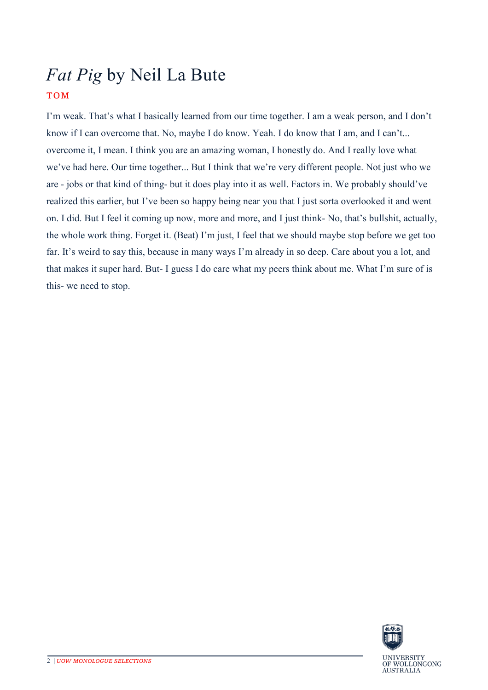### *Fat Pig* by Neil La Bute TOM

I'm weak. That's what I basically learned from our time together. I am a weak person, and I don't know if I can overcome that. No, maybe I do know. Yeah. I do know that I am, and I can't... overcome it, I mean. I think you are an amazing woman, I honestly do. And I really love what we've had here. Our time together... But I think that we're very different people. Not just who we are - jobs or that kind of thing- but it does play into it as well. Factors in. We probably should've realized this earlier, but I've been so happy being near you that I just sorta overlooked it and went on. I did. But I feel it coming up now, more and more, and I just think- No, that's bullshit, actually, the whole work thing. Forget it. (Beat) I'm just, I feel that we should maybe stop before we get too far. It's weird to say this, because in many ways I'm already in so deep. Care about you a lot, and that makes it super hard. But- I guess I do care what my peers think about me. What I'm sure of is this- we need to stop.

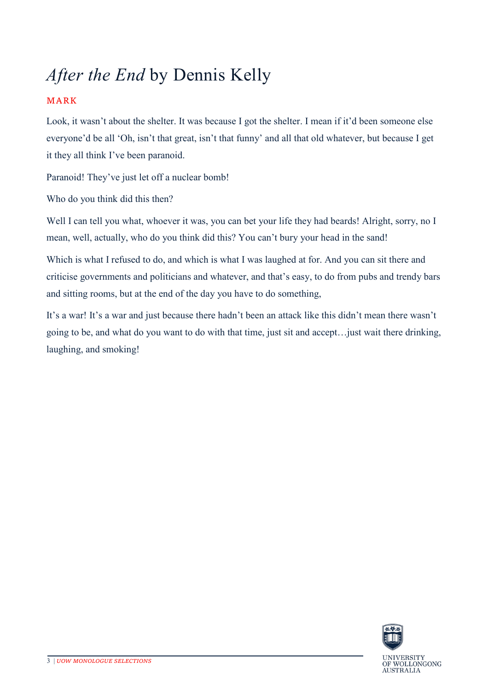## *After the End* by Dennis Kelly

### MARK

Look, it wasn't about the shelter. It was because I got the shelter. I mean if it'd been someone else everyone'd be all 'Oh, isn't that great, isn't that funny' and all that old whatever, but because I get it they all think I've been paranoid.

Paranoid! They've just let off a nuclear bomb!

Who do you think did this then?

Well I can tell you what, whoever it was, you can bet your life they had beards! Alright, sorry, no I mean, well, actually, who do you think did this? You can't bury your head in the sand!

Which is what I refused to do, and which is what I was laughed at for. And you can sit there and criticise governments and politicians and whatever, and that's easy, to do from pubs and trendy bars and sitting rooms, but at the end of the day you have to do something,

It's a war! It's a war and just because there hadn't been an attack like this didn't mean there wasn't going to be, and what do you want to do with that time, just sit and accept…just wait there drinking, laughing, and smoking!

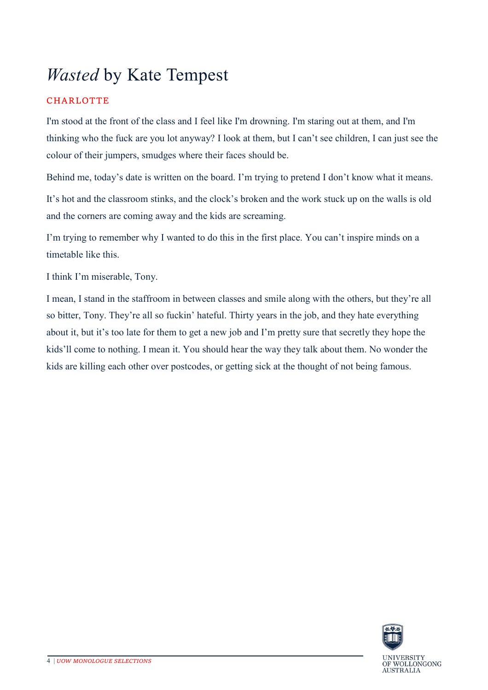### *Wasted* by Kate Tempest

### CHARLOTTE

I'm stood at the front of the class and I feel like I'm drowning. I'm staring out at them, and I'm thinking who the fuck are you lot anyway? I look at them, but I can't see children, I can just see the colour of their jumpers, smudges where their faces should be.

Behind me, today's date is written on the board. I'm trying to pretend I don't know what it means.

It's hot and the classroom stinks, and the clock's broken and the work stuck up on the walls is old and the corners are coming away and the kids are screaming.

I'm trying to remember why I wanted to do this in the first place. You can't inspire minds on a timetable like this.

I think I'm miserable, Tony.

I mean, I stand in the staffroom in between classes and smile along with the others, but they're all so bitter, Tony. They're all so fuckin' hateful. Thirty years in the job, and they hate everything about it, but it's too late for them to get a new job and I'm pretty sure that secretly they hope the kids'll come to nothing. I mean it. You should hear the way they talk about them. No wonder the kids are killing each other over postcodes, or getting sick at the thought of not being famous.

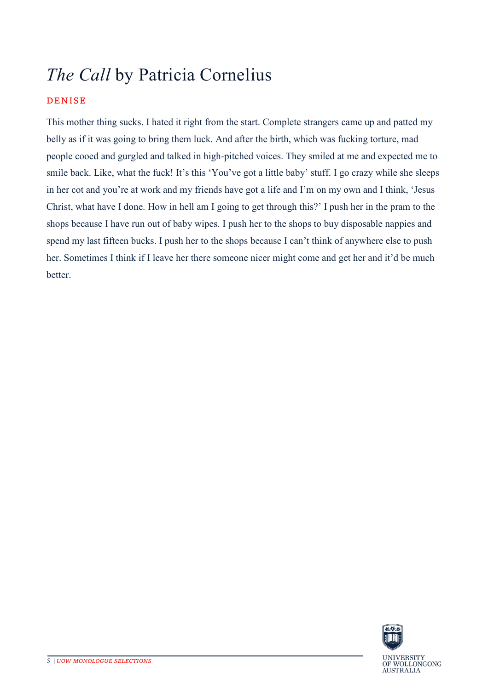## *The Call* by Patricia Cornelius

### DENISE

This mother thing sucks. I hated it right from the start. Complete strangers came up and patted my belly as if it was going to bring them luck. And after the birth, which was fucking torture, mad people cooed and gurgled and talked in high-pitched voices. They smiled at me and expected me to smile back. Like, what the fuck! It's this 'You've got a little baby' stuff. I go crazy while she sleeps in her cot and you're at work and my friends have got a life and I'm on my own and I think, 'Jesus Christ, what have I done. How in hell am I going to get through this?' I push her in the pram to the shops because I have run out of baby wipes. I push her to the shops to buy disposable nappies and spend my last fifteen bucks. I push her to the shops because I can't think of anywhere else to push her. Sometimes I think if I leave her there someone nicer might come and get her and it'd be much better.

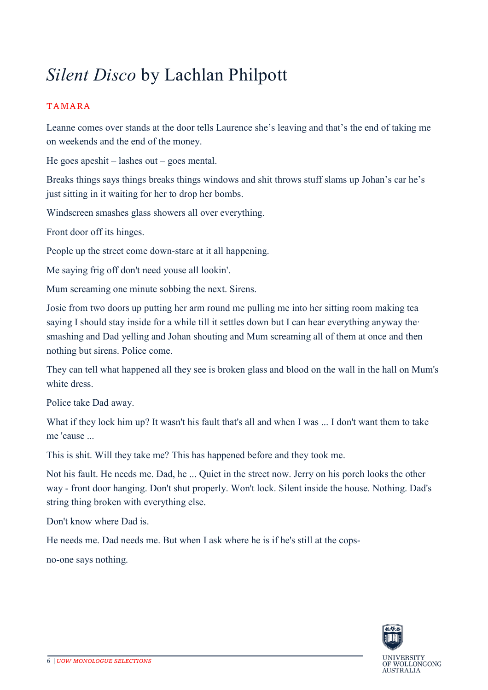### *Silent Disco* by Lachlan Philpott

### TAMARA

Leanne comes over stands at the door tells Laurence she's leaving and that's the end of taking me on weekends and the end of the money.

He goes apeshit – lashes out – goes mental.

Breaks things says things breaks things windows and shit throws stuff slams up Johan's car he's just sitting in it waiting for her to drop her bombs.

Windscreen smashes glass showers all over everything.

Front door off its hinges.

People up the street come down-stare at it all happening.

Me saying frig off don't need youse all lookin'.

Mum screaming one minute sobbing the next. Sirens.

Josie from two doors up putting her arm round me pulling me into her sitting room making tea saying I should stay inside for a while till it settles down but I can hear everything anyway the· smashing and Dad yelling and Johan shouting and Mum screaming all of them at once and then nothing but sirens. Police come.

They can tell what happened all they see is broken glass and blood on the wall in the hall on Mum's white dress.

Police take Dad away.

What if they lock him up? It wasn't his fault that's all and when I was ... I don't want them to take me 'cause ...

This is shit. Will they take me? This has happened before and they took me.

Not his fault. He needs me. Dad, he ... Quiet in the street now. Jerry on his porch looks the other way - front door hanging. Don't shut properly. Won't lock. Silent inside the house. Nothing. Dad's string thing broken with everything else.

Don't know where Dad is.

He needs me. Dad needs me. But when I ask where he is if he's still at the cops-

no-one says nothing.

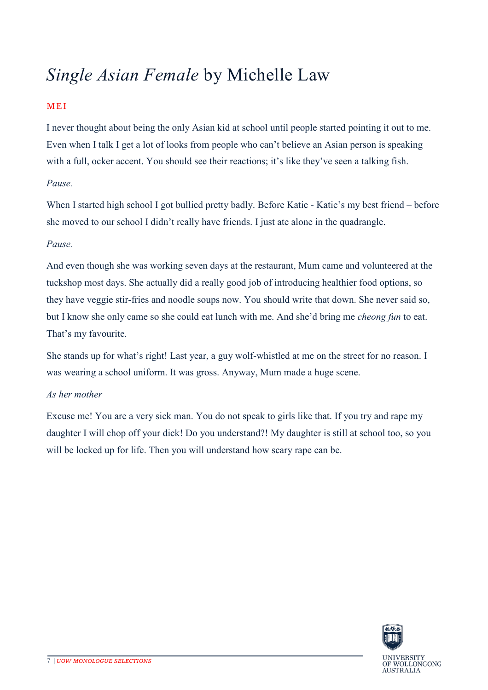### *Single Asian Female* by Michelle Law

### MEI

I never thought about being the only Asian kid at school until people started pointing it out to me. Even when I talk I get a lot of looks from people who can't believe an Asian person is speaking with a full, ocker accent. You should see their reactions; it's like they've seen a talking fish.

### *Pause.*

When I started high school I got bullied pretty badly. Before Katie - Katie's my best friend – before she moved to our school I didn't really have friends. I just ate alone in the quadrangle.

### *Pause.*

And even though she was working seven days at the restaurant, Mum came and volunteered at the tuckshop most days. She actually did a really good job of introducing healthier food options, so they have veggie stir-fries and noodle soups now. You should write that down. She never said so, but I know she only came so she could eat lunch with me. And she'd bring me *cheong fun* to eat. That's my favourite.

She stands up for what's right! Last year, a guy wolf-whistled at me on the street for no reason. I was wearing a school uniform. It was gross. Anyway, Mum made a huge scene.

#### *As her mother*

Excuse me! You are a very sick man. You do not speak to girls like that. If you try and rape my daughter I will chop off your dick! Do you understand?! My daughter is still at school too, so you will be locked up for life. Then you will understand how scary rape can be.

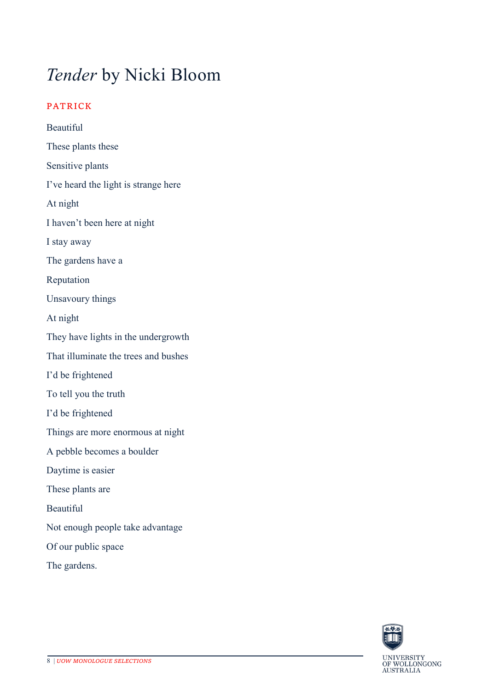### *Tender* by Nicki Bloom

### PATRICK

Beautiful These plants these Sensitive plants I've heard the light is strange here At night I haven't been here at night I stay away The gardens have a Reputation Unsavoury things At night They have lights in the undergrowth That illuminate the trees and bushes I'd be frightened To tell you the truth I'd be frightened Things are more enormous at night A pebble becomes a boulder Daytime is easier These plants are Beautiful Not enough people take advantage Of our public space The gardens.

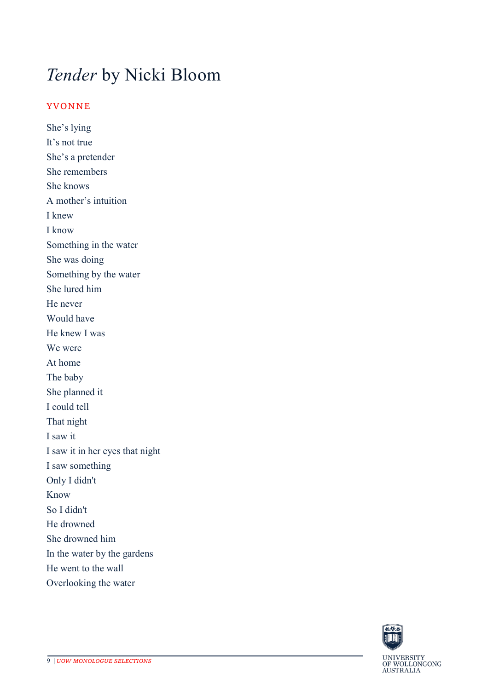### *Tender* by Nicki Bloom

#### YVONNE

She's lying It's not true She's a pretender She remembers She knows A mother's intuition I knew I know Something in the water She was doing Something by the water She lured him He never Would have He knew I was We were At home The baby She planned it I could tell That night I saw it I saw it in her eyes that night I saw something Only I didn't Know So I didn't He drowned She drowned him In the water by the gardens He went to the wall Overlooking the water